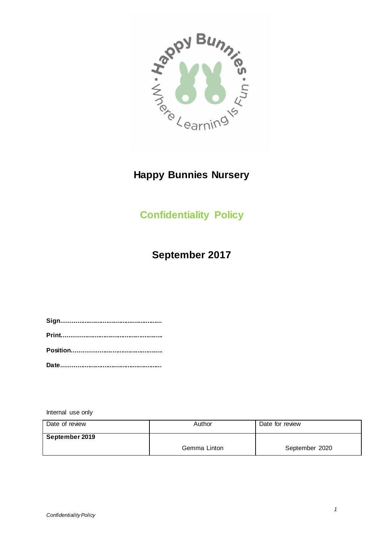

# **Happy Bunnies Nursery**

# **Confidentiality Policy**

## **September 2017**

Internal use only

| Date of review | Author       | Date for review |
|----------------|--------------|-----------------|
| September 2019 |              |                 |
|                | Gemma Linton | September 2020  |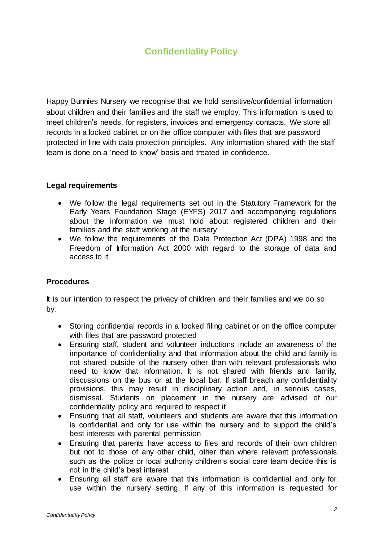## **Confidentiality Policy**

Happy Bunnies Nursery we recognise that we hold sensitive/confidential information about children and their families and the staff we employ. This information is used to meet children's needs, for registers, invoices and emergency contacts. We store all records in a locked cabinet or on the office computer with files that are password protected in line with data protection principles. Any information shared with the staff team is done on a 'need to know' basis and treated in confidence.

### **Legal requirements**

- We follow the legal requirements set out in the Statutory Framework for the Early Years Foundation Stage (EYFS) 2017 and accompanying regulations about the information we must hold about registered children and their families and the staff working at the nursery
- We follow the requirements of the Data Protection Act (DPA) 1998 and the Freedom of Information Act 2000 with regard to the storage of data and access to it.

#### **Procedures**

It is our intention to respect the privacy of children and their families and we do so by:

- Storing confidential records in a locked filing cabinet or on the office computer with files that are password protected
- Ensuring staff, student and volunteer inductions include an awareness of the importance of confidentiality and that information about the child and family is not shared outside of the nursery other than with relevant professionals who need to know that information. It is not shared with friends and family, discussions on the bus or at the local bar. If staff breach any confidentiality provisions, this may result in disciplinary action and, in serious cases, dismissal. Students on placement in the nursery are advised of our confidentiality policy and required to respect it
- Ensuring that all staff, volunteers and students are aware that this information is confidential and only for use within the nursery and to support the child's best interests with parental permission
- Ensuring that parents have access to files and records of their own children but not to those of any other child, other than where relevant professionals such as the police or local authority children's social care team decide this is not in the child's best interest
- Ensuring all staff are aware that this information is confidential and only for use within the nursery setting. If any of this information is requested for